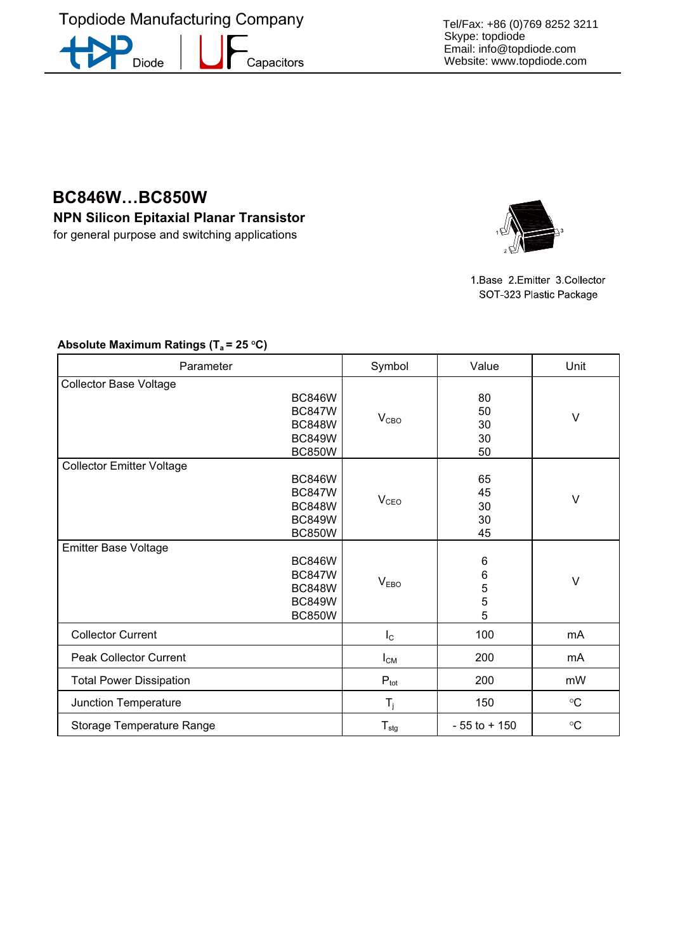**Topdiode Manufacturing Company** D

Capacitors

Diode

**BC846W…BC850W** 

**NPN Silicon Epitaxial Planar Transistor**  for general purpose and switching applications



1.Base 2.Emitter 3.Collector SOT-323 Plastic Package

| Parameter                        |                                                                                   | Symbol           | Value                               | Unit                 |
|----------------------------------|-----------------------------------------------------------------------------------|------------------|-------------------------------------|----------------------|
| <b>Collector Base Voltage</b>    | <b>BC846W</b><br><b>BC847W</b><br><b>BC848W</b><br><b>BC849W</b><br><b>BC850W</b> | V <sub>CBO</sub> | 80<br>50<br>30<br>30<br>50          | V                    |
| <b>Collector Emitter Voltage</b> | <b>BC846W</b><br><b>BC847W</b><br><b>BC848W</b><br><b>BC849W</b><br><b>BC850W</b> | V <sub>CEO</sub> | 65<br>45<br>30<br>30<br>45          | $\vee$               |
| <b>Emitter Base Voltage</b>      | <b>BC846W</b><br><b>BC847W</b><br><b>BC848W</b><br><b>BC849W</b><br><b>BC850W</b> | V <sub>EBO</sub> | 6<br>$\,6$<br>5<br>$\mathbf 5$<br>5 | V                    |
| <b>Collector Current</b>         |                                                                                   | $I_{\rm C}$      | 100                                 | mA                   |
| <b>Peak Collector Current</b>    |                                                                                   | $I_{CM}$         | 200                                 | mA                   |
| <b>Total Power Dissipation</b>   |                                                                                   | $P_{\text{tot}}$ | 200                                 | mW                   |
| Junction Temperature             |                                                                                   | $T_{\rm j}$      | 150                                 | $^{\circ}{\rm C}$    |
| Storage Temperature Range        |                                                                                   | $T_{\text{stg}}$ | $-55$ to $+150$                     | $^{\circ}\mathrm{C}$ |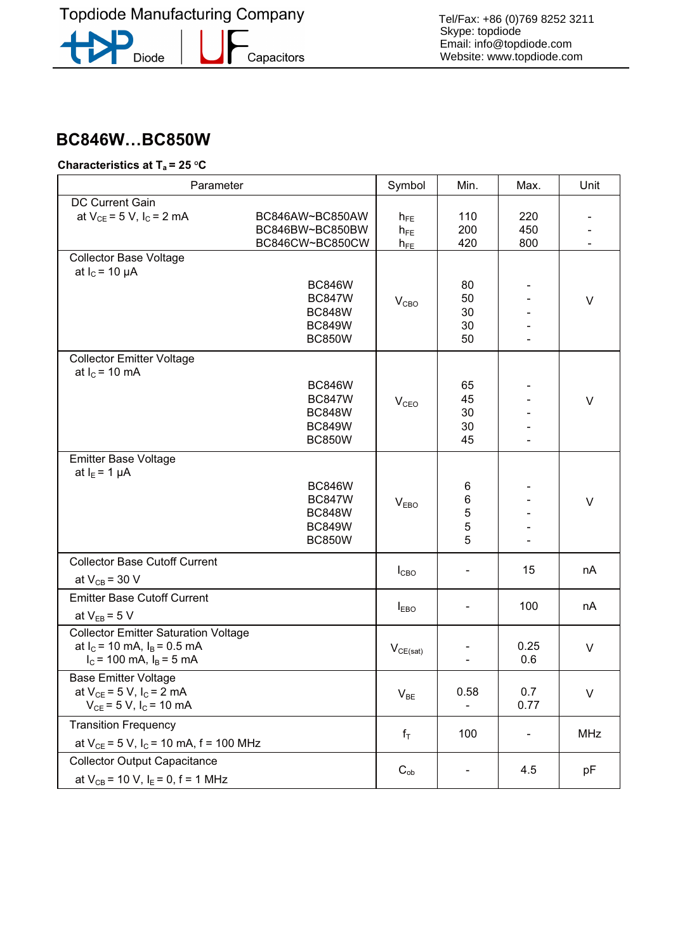**Topdiode Manufacturing Company** 

Diode

**-**<br>Capacitors

# **BC846**W…BC850W **Characteristics at Ta = 25 OC**

| Parameter                                                                                                       |                                                                                   | Symbol                           | Min.                       | Max.              | Unit       |
|-----------------------------------------------------------------------------------------------------------------|-----------------------------------------------------------------------------------|----------------------------------|----------------------------|-------------------|------------|
| DC Current Gain<br>at $V_{CE} = 5 V$ , $I_C = 2 mA$                                                             | BC846AW~BC850AW<br>BC846BW~BC850BW<br>BC846CW~BC850CW                             | $h_{FE}$<br>$h_{FE}$<br>$h_{FE}$ | 110<br>200<br>420          | 220<br>450<br>800 |            |
| Collector Base Voltage<br>at $I_C$ = 10 $\mu$ A                                                                 | <b>BC846W</b><br><b>BC847W</b><br><b>BC848W</b><br><b>BC849W</b><br><b>BC850W</b> | $V_{CBO}$                        | 80<br>50<br>30<br>30<br>50 |                   | V          |
| <b>Collector Emitter Voltage</b><br>at $I_c = 10$ mA                                                            | <b>BC846W</b><br><b>BC847W</b><br><b>BC848W</b><br><b>BC849W</b><br><b>BC850W</b> | V <sub>CEO</sub>                 | 65<br>45<br>30<br>30<br>45 |                   | V          |
| <b>Emitter Base Voltage</b><br>at $I_E = 1 \mu A$                                                               | <b>BC846W</b><br><b>BC847W</b><br><b>BC848W</b><br><b>BC849W</b><br><b>BC850W</b> | V <sub>EBO</sub>                 | 6<br>6<br>5<br>5<br>5      |                   | $\vee$     |
| <b>Collector Base Cutoff Current</b><br>at $V_{CB}$ = 30 V                                                      |                                                                                   | $I_{CBO}$                        |                            | 15                | nA         |
| <b>Emitter Base Cutoff Current</b><br>at $V_{EB} = 5 V$                                                         |                                                                                   | $I_{EBO}$                        |                            | 100               | nA         |
| <b>Collector Emitter Saturation Voltage</b><br>at $I_C$ = 10 mA, $I_B$ = 0.5 mA<br>$I_c$ = 100 mA, $I_B$ = 5 mA |                                                                                   | $V_{CE(sat)}$                    |                            | 0.25<br>0.6       | $\vee$     |
| <b>Base Emitter Voltage</b><br>at $V_{CE} = 5 V$ , $I_C = 2 mA$<br>$V_{CE} = 5 V$ , $I_C = 10 mA$               |                                                                                   | $V_{BE}$                         | 0.58                       | 0.7<br>0.77       | $\vee$     |
| <b>Transition Frequency</b><br>at $V_{CE} = 5 V$ , $I_C = 10$ mA, $f = 100$ MHz                                 |                                                                                   | $f_T$                            | 100                        |                   | <b>MHz</b> |
| <b>Collector Output Capacitance</b><br>at $V_{CB}$ = 10 V, $I_E$ = 0, f = 1 MHz                                 |                                                                                   | $C_{ob}$                         | $\overline{\phantom{a}}$   | 4.5               | pF         |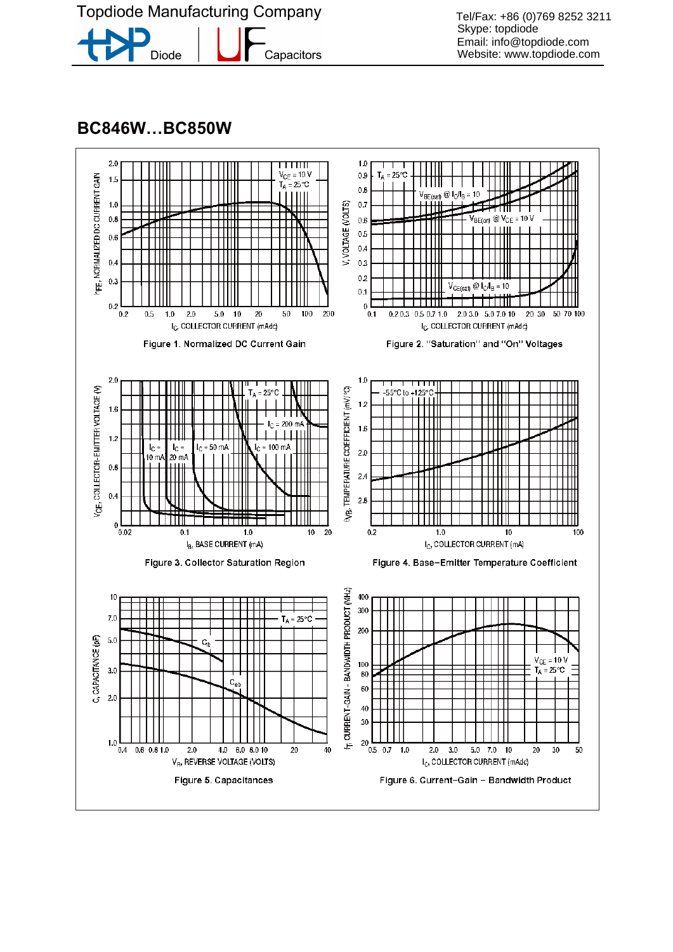

Diode Capacitors

Tel/Fax: +86 (0)769 8252 3211 Skype: topdiode Email: info@topdiode.com Website: www.topdiode.com